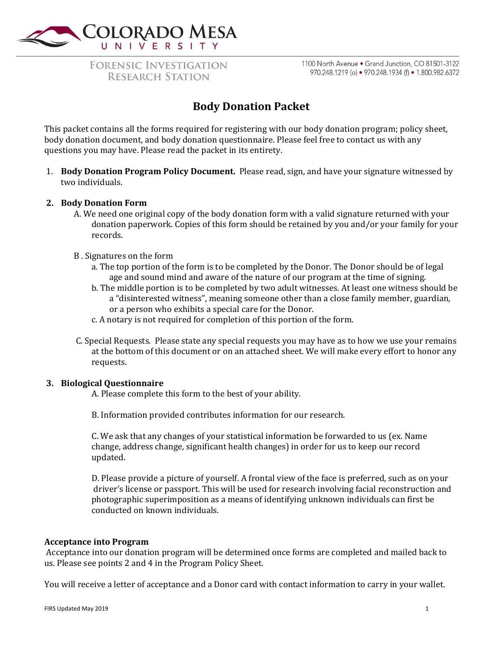

**FORENSIC INVESTIGATION RESEARCH STATION** 

1100 North Avenue . Grand Junction, CO 81501-3122 970.248.1219 (o) • 970.248.1934 (f) • 1.800.982.6372

## **Body Donation Packet**

This packet contains all the forms required for registering with our body donation program; policy sheet, body donation document, and body donation questionnaire. Please feel free to contact us with any questions you may have. Please read the packet in its entirety.

1. **Body Donation Program Policy Document.** Please read, sign, and have your signature witnessed by two individuals.

## **2. Body Donation Form**

- A. We need one original copy of the body donation form with a valid signature returned with your donation paperwork. Copies of this form should be retained by you and/or your family for your records.
- B . Signatures on the form
	- a. The top portion of the form is to be completed by the Donor. The Donor should be of legal age and sound mind and aware of the nature of our program at the time of signing.
	- b. The middle portion is to be completed by two adult witnesses. At least one witness should be a "disinterested witness", meaning someone other than a close family member, guardian, or a person who exhibits a special care for the Donor.
	- c. A notary is not required for completion of this portion of the form.
- C. Special Requests. Please state any special requests you may have as to how we use your remains at the bottom of this document or on an attached sheet. We will make every effort to honor any requests.

## **3. Biological Questionnaire**

A. Please complete this form to the best of your ability.

B. Information provided contributes information for our research.

C. We ask that any changes of your statistical information be forwarded to us (ex. Name change, address change, significant health changes) in order for us to keep our record updated.

D. Please provide a picture of yourself. A frontal view of the face is preferred, such as on your driver's license or passport. This will be used for research involving facial reconstruction and photographic superimposition as a means of identifying unknown individuals can first be conducted on known individuals.

#### **Acceptance into Program**

 Acceptance into our donation program will be determined once forms are completed and mailed back to us. Please see points 2 and 4 in the Program Policy Sheet.

You will receive a letter of acceptance and a Donor card with contact information to carry in your wallet.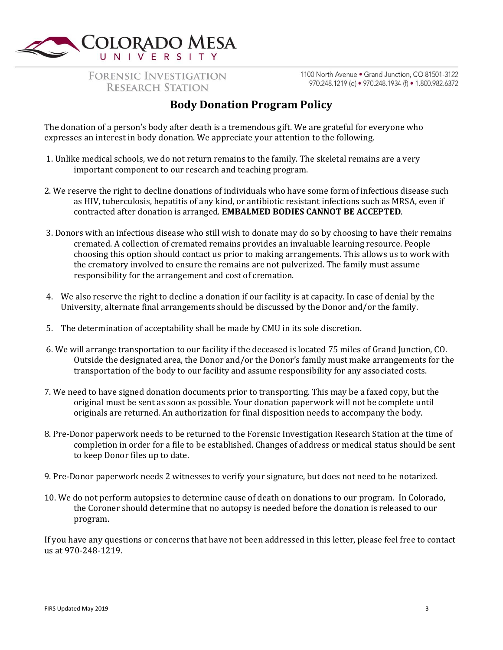

**FORENSIC INVESTIGATION RESEARCH STATION** 

1100 North Avenue . Grand Junction, CO 81501-3122 970.248.1219 (o) • 970.248.1934 (f) • 1.800.982.6372

## **Body Donation Program Policy**

The donation of a person's body after death is a tremendous gift. We are grateful for everyone who expresses an interest in body donation. We appreciate your attention to the following.

- 1. Unlike medical schools, we do not return remains to the family. The skeletal remains are a very important component to our research and teaching program.
- 2. We reserve the right to decline donations of individuals who have some form of infectious disease such as HIV, tuberculosis, hepatitis of any kind, or antibiotic resistant infections such as MRSA, even if contracted after donation is arranged. **EMBALMED BODIES CANNOT BE ACCEPTED**.
- 3. Donors with an infectious disease who still wish to donate may do so by choosing to have their remains cremated. A collection of cremated remains provides an invaluable learning resource. People choosing this option should contact us prior to making arrangements. This allows us to work with the crematory involved to ensure the remains are not pulverized. The family must assume responsibility for the arrangement and cost of cremation.
- 4. We also reserve the right to decline a donation if our facility is at capacity. In case of denial by the University, alternate final arrangements should be discussed by the Donor and/or the family.
- 5. The determination of acceptability shall be made by CMU in its sole discretion.
- 6. We will arrange transportation to our facility if the deceased is located 75 miles of Grand Junction, CO. Outside the designated area, the Donor and/or the Donor's family must make arrangements for the transportation of the body to our facility and assume responsibility for any associated costs.
- 7. We need to have signed donation documents prior to transporting. This may be a faxed copy, but the original must be sent as soon as possible. Your donation paperwork will not be complete until originals are returned. An authorization for final disposition needs to accompany the body.
- 8. Pre-Donor paperwork needs to be returned to the Forensic Investigation Research Station at the time of completion in order for a file to be established. Changes of address or medical status should be sent to keep Donor files up to date.
- 9. Pre-Donor paperwork needs 2 witnesses to verify your signature, but does not need to be notarized.
- 10. We do not perform autopsies to determine cause of death on donations to our program. In Colorado, the Coroner should determine that no autopsy is needed before the donation is released to our program.

If you have any questions or concerns that have not been addressed in this letter, please feel free to contact us at 970-248-1219.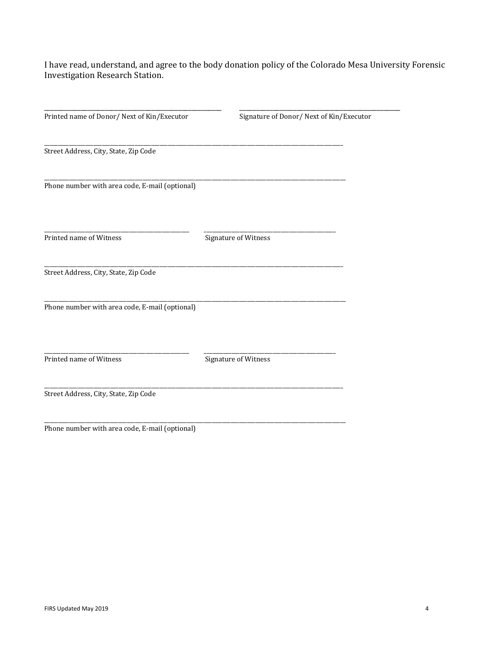I have read, understand, and agree to the body donation policy of the Colorado Mesa University Forensic Investigation Research Station.

| Printed name of Donor/Next of Kin/Executor     | Signature of Donor/ Next of Kin/Executor |
|------------------------------------------------|------------------------------------------|
| Street Address, City, State, Zip Code          |                                          |
| Phone number with area code, E-mail (optional) |                                          |
|                                                |                                          |
| Printed name of Witness                        | Signature of Witness                     |
| Street Address, City, State, Zip Code          |                                          |
| Phone number with area code, E-mail (optional) |                                          |
| Printed name of Witness                        | Signature of Witness                     |
| Street Address, City, State, Zip Code          |                                          |
| Phone number with area code, E-mail (optional) |                                          |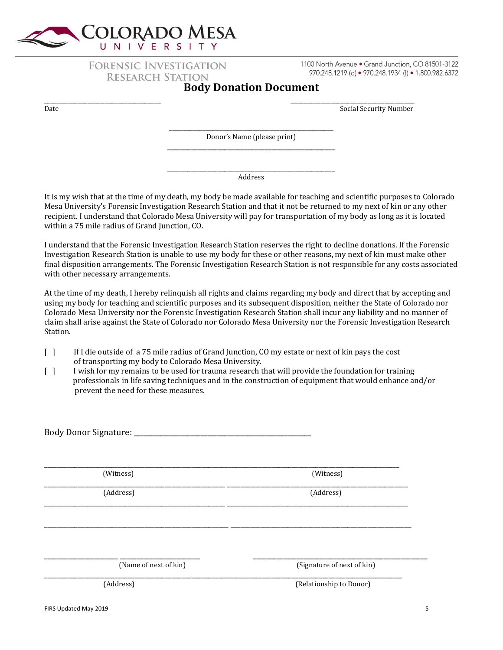

# **FORENSIC INVESTIGATION RESEARCH STATION Body Donation Document**

1100 North Avenue . Grand Junction, CO 81501-3122 970.248.1219 (o) • 970.248.1934 (f) • 1.800.982.6372

\_\_\_\_\_\_\_\_\_\_\_\_\_\_\_\_\_\_\_\_\_\_\_\_\_\_\_\_\_\_\_\_\_\_\_ \_\_\_\_\_\_\_\_\_\_\_\_\_\_\_\_\_\_\_\_\_\_\_\_\_\_\_\_\_\_\_\_\_\_\_\_\_

Date Social Security Number

\_\_\_\_\_\_\_\_\_\_\_\_\_\_\_\_\_\_\_\_\_\_\_\_\_\_\_\_\_\_\_\_\_\_\_\_\_\_\_\_\_\_\_\_\_\_\_\_\_ Donor's Name (please print) \_\_\_\_\_\_\_\_\_\_\_\_\_\_\_\_\_\_\_\_\_\_\_\_\_\_\_\_\_\_\_\_\_\_\_\_\_\_\_\_\_\_\_\_\_\_\_\_\_\_

\_\_\_\_\_\_\_\_\_\_\_\_\_\_\_\_\_\_\_\_\_\_\_\_\_\_\_\_\_\_\_\_\_\_\_\_\_\_\_\_\_\_\_\_\_\_\_\_\_\_ Address

It is my wish that at the time of my death, my body be made available for teaching and scientific purposes to Colorado Mesa University's Forensic Investigation Research Station and that it not be returned to my next of kin or any other recipient. I understand that Colorado Mesa University will pay for transportation of my body as long as it is located within a 75 mile radius of Grand Junction, CO.

I understand that the Forensic Investigation Research Station reserves the right to decline donations. If the Forensic Investigation Research Station is unable to use my body for these or other reasons, my next of kin must make other final disposition arrangements. The Forensic Investigation Research Station is not responsible for any costs associated with other necessary arrangements.

At the time of my death, I hereby relinquish all rights and claims regarding my body and direct that by accepting and using my body for teaching and scientific purposes and its subsequent disposition, neither the State of Colorado nor Colorado Mesa University nor the Forensic Investigation Research Station shall incur any liability and no manner of claim shall arise against the State of Colorado nor Colorado Mesa University nor the Forensic Investigation Research Station.

[ ] If I die outside of a 75 mile radius of Grand Junction, CO my estate or next of kin pays the cost of transporting my body to Colorado Mesa University.

\_\_\_\_\_\_\_\_\_\_\_\_\_\_\_\_\_\_\_\_\_\_\_\_\_\_\_\_\_\_\_\_\_\_\_\_\_\_\_\_\_\_\_\_\_\_\_\_\_\_\_\_\_\_\_\_\_\_\_\_\_\_\_\_\_\_\_\_\_\_\_\_\_\_\_\_\_\_\_\_\_\_\_\_\_\_\_\_\_\_\_\_\_\_\_\_\_\_\_\_\_\_\_\_\_\_

[ ] I wish for my remains to be used for trauma research that will provide the foundation for training professionals in life saving techniques and in the construction of equipment that would enhance and/or prevent the need for these measures.

Body Donor Signature: \_\_\_\_\_\_\_\_\_\_\_\_\_\_\_\_\_\_\_\_\_\_\_\_\_\_\_\_\_\_\_\_\_\_\_\_\_\_\_\_\_\_\_\_\_\_\_\_\_\_\_\_\_

(Witness) (Witness)

\_\_\_\_\_\_\_\_\_\_\_\_\_\_\_\_\_\_\_\_\_\_\_\_\_\_\_\_\_\_\_\_\_\_\_\_\_\_\_\_\_\_\_\_\_\_\_\_\_\_\_\_\_\_ \_\_\_\_\_\_\_\_\_\_\_\_\_\_\_\_\_\_\_\_\_\_\_\_\_\_\_\_\_\_\_\_\_\_\_\_\_\_\_\_\_\_\_\_\_\_\_\_\_\_\_\_\_\_ (Address) (Address)

\_\_\_\_\_\_\_\_\_\_\_\_\_\_\_\_\_\_\_\_\_\_\_\_\_\_\_\_\_\_\_\_\_\_\_\_\_\_\_\_\_\_\_\_\_\_\_\_\_\_\_\_\_\_ \_\_\_\_\_\_\_\_\_\_\_\_\_\_\_\_\_\_\_\_\_\_\_\_\_\_\_\_\_\_\_\_\_\_\_\_\_\_\_\_\_\_\_\_\_\_\_\_\_\_\_\_\_\_

\_\_\_\_\_\_\_\_\_\_\_\_\_\_\_\_\_\_\_\_\_\_\_\_\_\_\_\_\_\_\_\_\_\_\_\_\_\_\_\_\_\_\_\_\_\_\_\_\_\_\_\_\_\_\_ \_\_\_\_\_\_\_\_\_\_\_\_\_\_\_\_\_\_\_\_\_\_\_\_\_\_\_\_\_\_\_\_\_\_\_\_\_\_\_\_\_\_\_\_\_\_\_\_\_\_\_\_\_\_

\_\_\_\_\_\_\_\_\_\_\_\_\_\_\_\_\_\_\_\_\_\_ \_\_\_\_\_\_\_\_\_\_\_\_\_\_\_\_\_\_\_\_\_\_\_\_ \_\_\_\_\_\_\_\_\_\_\_\_\_\_\_\_\_\_\_\_\_\_\_\_\_\_\_\_\_\_\_\_\_\_\_\_\_\_\_\_\_\_\_\_\_\_\_\_\_\_\_\_

(Name of next of kin) (Signature of next of kin)

\_\_\_\_\_\_\_\_\_\_\_\_\_\_\_\_\_\_\_\_\_\_\_\_\_\_\_\_\_\_\_\_\_\_\_\_\_\_\_\_\_\_\_\_\_\_\_\_\_\_\_\_\_\_\_\_\_\_\_\_\_\_\_\_\_\_\_\_\_\_\_\_\_\_\_\_\_\_\_\_\_\_\_\_\_\_\_\_\_\_\_\_\_\_\_\_\_\_\_\_\_\_\_\_\_\_\_ (Address) (Relationship to Donor)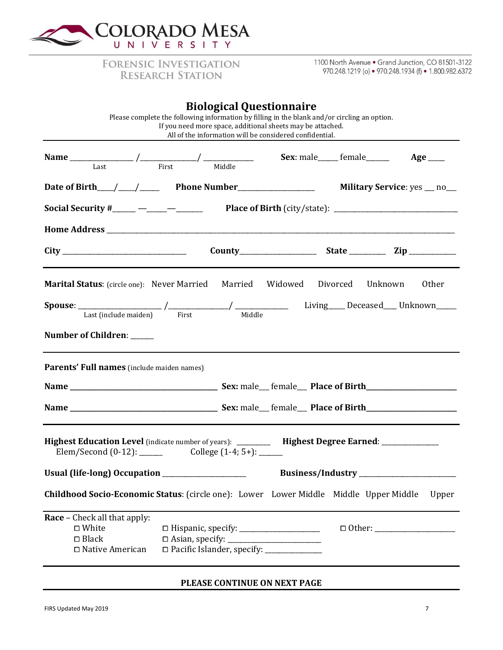

**FORENSIC INVESTIGATION RESEARCH STATION** 

1100 North Avenue . Grand Junction, CO 81501-3122 970.248.1219 (o) • 970.248.1934 (f) • 1.800.982.6372

|                                                                                                | <b>Biological Questionnaire</b><br>Please complete the following information by filling in the blank and/or circling an option.<br>If you need more space, additional sheets may be attached.<br>All of the information will be considered confidential. |                    |  |                       |  |
|------------------------------------------------------------------------------------------------|----------------------------------------------------------------------------------------------------------------------------------------------------------------------------------------------------------------------------------------------------------|--------------------|--|-----------------------|--|
|                                                                                                | Name $\frac{1}{\text{Last}}$ / $\frac{1}{\text{First}}$ / $\frac{1}{\text{Width}}$ Sex: male female female                                                                                                                                               |                    |  | $Age$ <sub>____</sub> |  |
|                                                                                                |                                                                                                                                                                                                                                                          |                    |  |                       |  |
|                                                                                                | Social Security $\#$ ____ — ___ — ____ Place of Birth (city/state): ________________________________                                                                                                                                                     |                    |  |                       |  |
|                                                                                                |                                                                                                                                                                                                                                                          |                    |  |                       |  |
|                                                                                                |                                                                                                                                                                                                                                                          |                    |  |                       |  |
|                                                                                                | <b>Marital Status:</b> (circle one): Never Married Married                                                                                                                                                                                               | Widowed Divorced   |  | Other<br>Unknown      |  |
|                                                                                                | $\text{Spouse: } \frac{1}{\text{Last (include middle)}} / \frac{1}{\text{First}}$ / $\frac{1}{\text{first}}$ / $\frac{1}{\text{width}}$ $\frac{1}{\text{width}}$ $\frac{1}{\text{total}}$ Deceased Unknown                                               |                    |  |                       |  |
| Number of Children: _____                                                                      |                                                                                                                                                                                                                                                          |                    |  |                       |  |
| Parents' Full names (include maiden names)                                                     |                                                                                                                                                                                                                                                          |                    |  |                       |  |
|                                                                                                |                                                                                                                                                                                                                                                          |                    |  |                       |  |
|                                                                                                |                                                                                                                                                                                                                                                          |                    |  |                       |  |
|                                                                                                | Highest Education Level (indicate number of years): _________ Highest Degree Earned: _____________                                                                                                                                                       |                    |  |                       |  |
|                                                                                                |                                                                                                                                                                                                                                                          | Business/Industry_ |  |                       |  |
|                                                                                                | Childhood Socio-Economic Status: (circle one): Lower Lower Middle Middle Upper Middle                                                                                                                                                                    |                    |  | Upper                 |  |
| <b>Race</b> – Check all that apply:<br>$\square$ White<br>$\square$ Black<br>□ Native American | □ Pacific Islander, specify: _______________                                                                                                                                                                                                             |                    |  |                       |  |

## **PLEASE CONTINUE ON NEXT PAGE**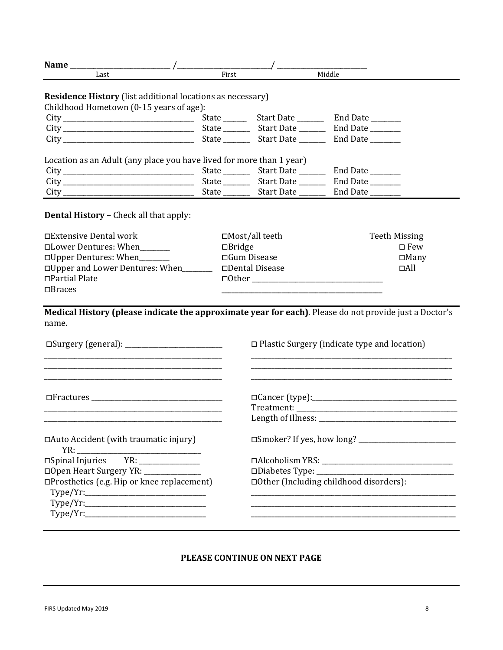| Last                                                                                                                                                      | First         |                               | Middle                                                                                                                |                                         |
|-----------------------------------------------------------------------------------------------------------------------------------------------------------|---------------|-------------------------------|-----------------------------------------------------------------------------------------------------------------------|-----------------------------------------|
| <b>Residence History</b> (list additional locations as necessary)<br>Childhood Hometown (0-15 years of age):                                              |               |                               |                                                                                                                       |                                         |
|                                                                                                                                                           |               |                               |                                                                                                                       |                                         |
|                                                                                                                                                           |               |                               |                                                                                                                       |                                         |
|                                                                                                                                                           |               |                               |                                                                                                                       |                                         |
| Location as an Adult (any place you have lived for more than 1 year)                                                                                      |               |                               |                                                                                                                       |                                         |
|                                                                                                                                                           |               |                               |                                                                                                                       |                                         |
|                                                                                                                                                           |               |                               |                                                                                                                       |                                         |
|                                                                                                                                                           |               |                               |                                                                                                                       |                                         |
| <b>Dental History - Check all that apply:</b>                                                                                                             |               |                               |                                                                                                                       |                                         |
| □Extensive Dental work                                                                                                                                    |               | □Most/all teeth               |                                                                                                                       | <b>Teeth Missing</b>                    |
| □Lower Dentures: When______                                                                                                                               | $\Box$ Bridge |                               |                                                                                                                       | $\square$ Few                           |
| □Upper Dentures: When_______                                                                                                                              |               | $\Box$ Gum Disease            |                                                                                                                       | $\square$ Many                          |
| □ Upper and Lower Dentures: When_______                                                                                                                   |               | □Dental Disease<br>$\Box$ All |                                                                                                                       |                                         |
| □Partial Plate                                                                                                                                            |               |                               |                                                                                                                       |                                         |
| $\Box$ <i>Braces</i>                                                                                                                                      |               |                               |                                                                                                                       |                                         |
|                                                                                                                                                           |               |                               |                                                                                                                       |                                         |
| Medical History (please indicate the approximate year for each). Please do not provide just a Doctor's<br>name.                                           |               |                               |                                                                                                                       |                                         |
|                                                                                                                                                           |               |                               | $\Box$ Plastic Surgery (indicate type and location)                                                                   |                                         |
| <u> 1980 - Johann John Harry Harry Harry Harry Harry Harry Harry Harry Harry Harry Harry Harry Harry Harry Harry H</u>                                    |               |                               |                                                                                                                       |                                         |
|                                                                                                                                                           |               |                               |                                                                                                                       |                                         |
| □ Auto Accident (with traumatic injury)                                                                                                                   |               |                               |                                                                                                                       | $\Box$ Smoker? If yes, how long? $\Box$ |
| $\begin{tabular}{c} \bf YR: \begin{tabular}{c} \bf XR: \end{tabular} \end{tabular}$ $\begin{tabular}{c} \bf DSpinal Injuries \end{tabular} \end{tabular}$ |               |                               |                                                                                                                       |                                         |
|                                                                                                                                                           |               |                               |                                                                                                                       |                                         |
| □Prosthetics (e.g. Hip or knee replacement)                                                                                                               |               |                               | □Other (Including childhood disorders):                                                                               |                                         |
|                                                                                                                                                           |               |                               | <u> 1989 - Johann Harry Harry Harry Harry Harry Harry Harry Harry Harry Harry Harry Harry Harry Harry Harry Harry</u> |                                         |
|                                                                                                                                                           |               |                               |                                                                                                                       |                                         |
|                                                                                                                                                           |               |                               |                                                                                                                       |                                         |

## **PLEASE CONTINUE ON NEXT PAGE**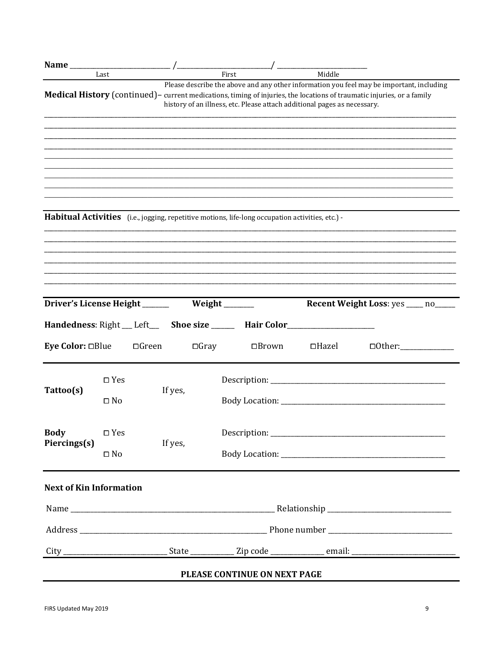| Name $\_\_\_\_\_\$             |                               |              |                                                                                                                                                                                                                                                                                                 |              |                                             |  |
|--------------------------------|-------------------------------|--------------|-------------------------------------------------------------------------------------------------------------------------------------------------------------------------------------------------------------------------------------------------------------------------------------------------|--------------|---------------------------------------------|--|
|                                | Last                          |              | First                                                                                                                                                                                                                                                                                           | Middle       |                                             |  |
|                                |                               |              | Please describe the above and any other information you feel may be important, including<br>Medical History (continued) - current medications, timing of injuries, the locations of traumatic injuries, or a family<br>history of an illness, etc. Please attach additional pages as necessary. |              |                                             |  |
|                                |                               |              |                                                                                                                                                                                                                                                                                                 |              |                                             |  |
|                                |                               |              | Habitual Activities (i.e., jogging, repetitive motions, life-long occupation activities, etc.) -                                                                                                                                                                                                |              |                                             |  |
| Driver's License Height _____  |                               |              | Weight ______<br>Handedness: Right __ Left___ Shoe size _____ Hair Color_________________________                                                                                                                                                                                               |              | <b>Recent Weight Loss:</b> yes ____ no_____ |  |
| Eye Color: □Blue               |                               | $\Box$ Green | $\Box$ Gray<br>$\Box$ Brown                                                                                                                                                                                                                                                                     | $\Box$ Hazel | $\Box$ Other:                               |  |
| Tattoo(s)                      | $\square$ Yes<br>$\Box$ No    | If yes,      |                                                                                                                                                                                                                                                                                                 |              |                                             |  |
|                                |                               |              |                                                                                                                                                                                                                                                                                                 |              |                                             |  |
| <b>Body</b><br>Piercings(s)    | $\square$ Yes<br>$\square$ No | If yes,      |                                                                                                                                                                                                                                                                                                 |              |                                             |  |
|                                |                               |              |                                                                                                                                                                                                                                                                                                 |              |                                             |  |
| <b>Next of Kin Information</b> |                               |              |                                                                                                                                                                                                                                                                                                 |              |                                             |  |
|                                |                               |              |                                                                                                                                                                                                                                                                                                 |              |                                             |  |